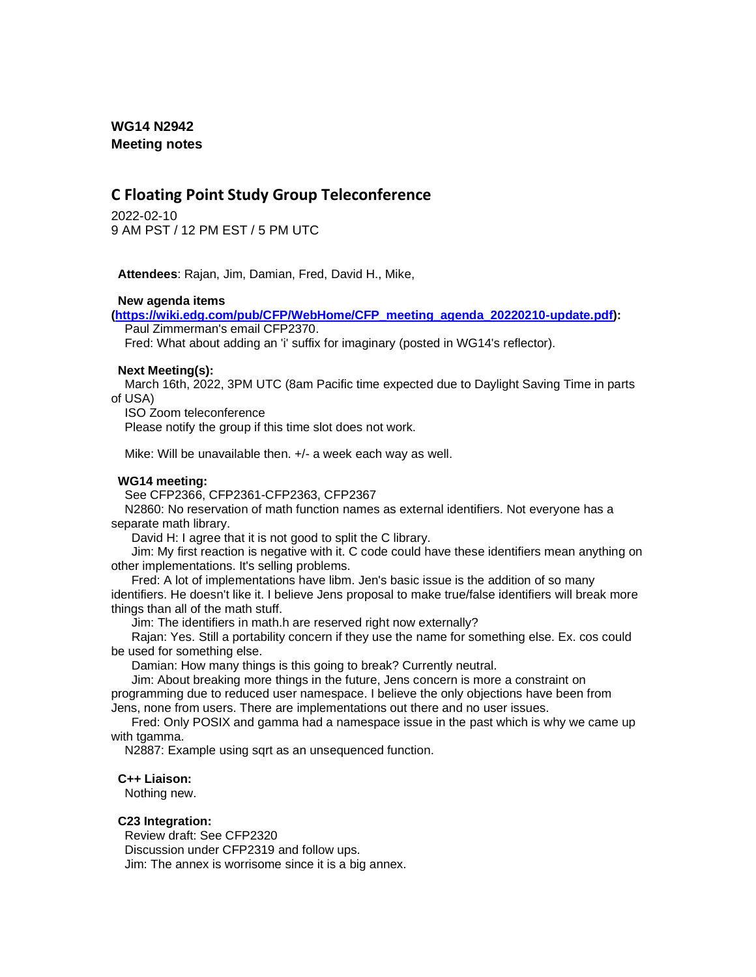## **WG14 N2942 Meeting notes**

# **C Floating Point Study Group Teleconference**

2022-02-10 9 AM PST / 12 PM EST / 5 PM UTC

**Attendees**: Rajan, Jim, Damian, Fred, David H., Mike,

### **New agenda items**

**[\(https://wiki.edg.com/pub/CFP/WebHome/CFP\\_meeting\\_agenda\\_20220210-update.pdf\)](https://wiki.edg.com/pub/CFP/WebHome/CFP_meeting_agenda_20220210-update.pdf):**

Paul Zimmerman's email CFP2370.

Fred: What about adding an 'i' suffix for imaginary (posted in WG14's reflector).

### **Next Meeting(s):**

March 16th, 2022, 3PM UTC (8am Pacific time expected due to Daylight Saving Time in parts of USA)

ISO Zoom teleconference

Please notify the group if this time slot does not work.

Mike: Will be unavailable then. +/- a week each way as well.

### **WG14 meeting:**

See CFP2366, CFP2361-CFP2363, CFP2367

N2860: No reservation of math function names as external identifiers. Not everyone has a separate math library.

David H: I agree that it is not good to split the C library.

Jim: My first reaction is negative with it. C code could have these identifiers mean anything on other implementations. It's selling problems.

Fred: A lot of implementations have libm. Jen's basic issue is the addition of so many identifiers. He doesn't like it. I believe Jens proposal to make true/false identifiers will break more things than all of the math stuff.

Jim: The identifiers in math.h are reserved right now externally?

Rajan: Yes. Still a portability concern if they use the name for something else. Ex. cos could be used for something else.

Damian: How many things is this going to break? Currently neutral.

Jim: About breaking more things in the future, Jens concern is more a constraint on

programming due to reduced user namespace. I believe the only objections have been from

Jens, none from users. There are implementations out there and no user issues.

Fred: Only POSIX and gamma had a namespace issue in the past which is why we came up with tgamma.

N2887: Example using sqrt as an unsequenced function.

### **C++ Liaison:**

Nothing new.

### **C23 Integration:**

Review draft: See CFP2320 Discussion under CFP2319 and follow ups. Jim: The annex is worrisome since it is a big annex.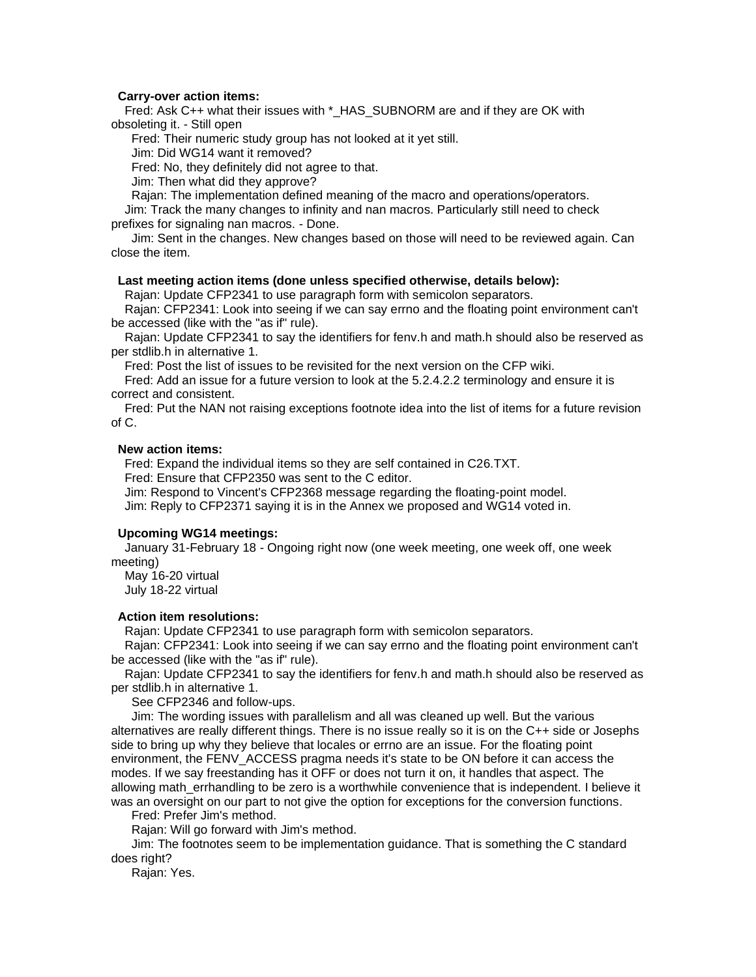#### **Carry-over action items:**

Fred: Ask C++ what their issues with \* HAS SUBNORM are and if they are OK with obsoleting it. - Still open

Fred: Their numeric study group has not looked at it yet still.

Jim: Did WG14 want it removed?

Fred: No, they definitely did not agree to that.

Jim: Then what did they approve?

Rajan: The implementation defined meaning of the macro and operations/operators.

Jim: Track the many changes to infinity and nan macros. Particularly still need to check prefixes for signaling nan macros. - Done.

Jim: Sent in the changes. New changes based on those will need to be reviewed again. Can close the item.

### **Last meeting action items (done unless specified otherwise, details below):**

Rajan: Update CFP2341 to use paragraph form with semicolon separators.

Rajan: CFP2341: Look into seeing if we can say errno and the floating point environment can't be accessed (like with the "as if" rule).

Rajan: Update CFP2341 to say the identifiers for fenv.h and math.h should also be reserved as per stdlib.h in alternative 1.

Fred: Post the list of issues to be revisited for the next version on the CFP wiki.

Fred: Add an issue for a future version to look at the 5.2.4.2.2 terminology and ensure it is correct and consistent.

Fred: Put the NAN not raising exceptions footnote idea into the list of items for a future revision of C.

### **New action items:**

Fred: Expand the individual items so they are self contained in C26.TXT.

Fred: Ensure that CFP2350 was sent to the C editor.

Jim: Respond to Vincent's CFP2368 message regarding the floating-point model.

Jim: Reply to CFP2371 saying it is in the Annex we proposed and WG14 voted in.

#### **Upcoming WG14 meetings:**

January 31-February 18 - Ongoing right now (one week meeting, one week off, one week meeting)

May 16-20 virtual July 18-22 virtual

#### **Action item resolutions:**

Rajan: Update CFP2341 to use paragraph form with semicolon separators.

Rajan: CFP2341: Look into seeing if we can say errno and the floating point environment can't be accessed (like with the "as if" rule).

Rajan: Update CFP2341 to say the identifiers for fenv.h and math.h should also be reserved as per stdlib.h in alternative 1.

See CFP2346 and follow-ups.

Jim: The wording issues with parallelism and all was cleaned up well. But the various alternatives are really different things. There is no issue really so it is on the C++ side or Josephs side to bring up why they believe that locales or errno are an issue. For the floating point environment, the FENV ACCESS pragma needs it's state to be ON before it can access the modes. If we say freestanding has it OFF or does not turn it on, it handles that aspect. The allowing math\_errhandling to be zero is a worthwhile convenience that is independent. I believe it was an oversight on our part to not give the option for exceptions for the conversion functions.

Fred: Prefer Jim's method.

Rajan: Will go forward with Jim's method.

Jim: The footnotes seem to be implementation guidance. That is something the C standard does right?

Rajan: Yes.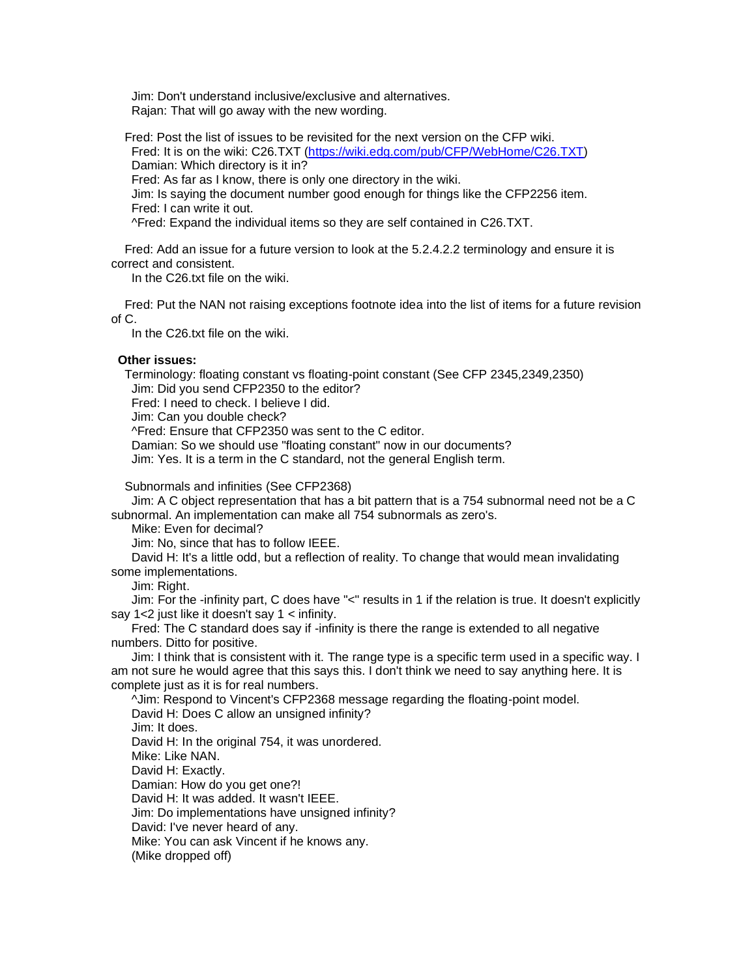Jim: Don't understand inclusive/exclusive and alternatives. Rajan: That will go away with the new wording.

Fred: Post the list of issues to be revisited for the next version on the CFP wiki. Fred: It is on the wiki: C26.TXT [\(https://wiki.edg.com/pub/CFP/WebHome/C26.TXT\)](https://wiki.edg.com/pub/CFP/WebHome/C26.TXT) Damian: Which directory is it in? Fred: As far as I know, there is only one directory in the wiki. Jim: Is saying the document number good enough for things like the CFP2256 item. Fred: I can write it out. ^Fred: Expand the individual items so they are self contained in C26.TXT.

Fred: Add an issue for a future version to look at the 5.2.4.2.2 terminology and ensure it is correct and consistent.

In the C26.txt file on the wiki.

Fred: Put the NAN not raising exceptions footnote idea into the list of items for a future revision of C.

In the C26.txt file on the wiki.

### **Other issues:**

Terminology: floating constant vs floating-point constant (See CFP 2345,2349,2350)

Jim: Did you send CFP2350 to the editor?

Fred: I need to check. I believe I did.

Jim: Can you double check?

^Fred: Ensure that CFP2350 was sent to the C editor.

Damian: So we should use "floating constant" now in our documents?

Jim: Yes. It is a term in the C standard, not the general English term.

Subnormals and infinities (See CFP2368)

Jim: A C object representation that has a bit pattern that is a 754 subnormal need not be a C subnormal. An implementation can make all 754 subnormals as zero's.

Mike: Even for decimal?

Jim: No, since that has to follow IEEE.

David H: It's a little odd, but a reflection of reality. To change that would mean invalidating some implementations.

Jim: Right.

Jim: For the -infinity part, C does have "<" results in 1 if the relation is true. It doesn't explicitly say 1<2 just like it doesn't say 1 < infinity.

Fred: The C standard does say if -infinity is there the range is extended to all negative numbers. Ditto for positive.

Jim: I think that is consistent with it. The range type is a specific term used in a specific way. I am not sure he would agree that this says this. I don't think we need to say anything here. It is complete just as it is for real numbers.

^Jim: Respond to Vincent's CFP2368 message regarding the floating-point model. David H: Does C allow an unsigned infinity? Jim: It does. David H: In the original 754, it was unordered. Mike: Like NAN. David H: Exactly. Damian: How do you get one?! David H: It was added. It wasn't IEEE. Jim: Do implementations have unsigned infinity? David: I've never heard of any. Mike: You can ask Vincent if he knows any. (Mike dropped off)